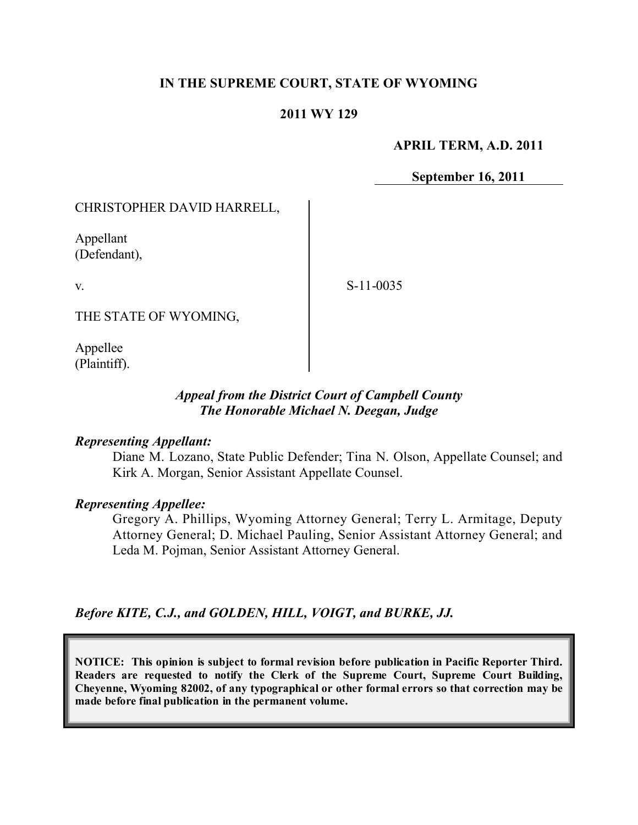# **IN THE SUPREME COURT, STATE OF WYOMING**

## **2011 WY 129**

### **APRIL TERM, A.D. 2011**

**September 16, 2011**

### CHRISTOPHER DAVID HARRELL,

Appellant (Defendant),

v.

S-11-0035

THE STATE OF WYOMING,

Appellee (Plaintiff).

## *Appeal from the District Court of Campbell County The Honorable Michael N. Deegan, Judge*

### *Representing Appellant:*

Diane M. Lozano, State Public Defender; Tina N. Olson, Appellate Counsel; and Kirk A. Morgan, Senior Assistant Appellate Counsel.

#### *Representing Appellee:*

Gregory A. Phillips, Wyoming Attorney General; Terry L. Armitage, Deputy Attorney General; D. Michael Pauling, Senior Assistant Attorney General; and Leda M. Pojman, Senior Assistant Attorney General.

*Before KITE, C.J., and GOLDEN, HILL, VOIGT, and BURKE, JJ.*

**NOTICE: This opinion is subject to formal revision before publication in Pacific Reporter Third. Readers are requested to notify the Clerk of the Supreme Court, Supreme Court Building, Cheyenne, Wyoming 82002, of any typographical or other formal errors so that correction may be made before final publication in the permanent volume.**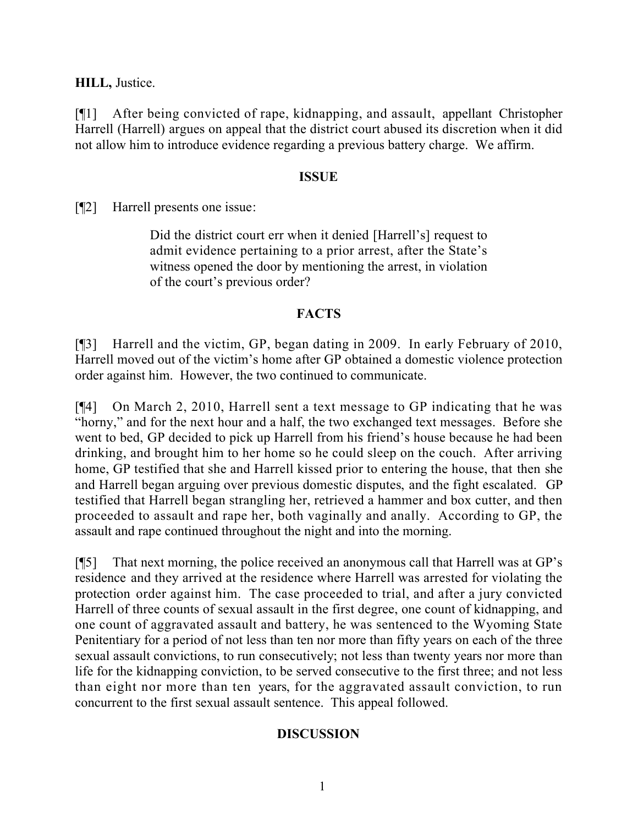**HILL,** Justice.

[¶1] After being convicted of rape, kidnapping, and assault, appellant Christopher Harrell (Harrell) argues on appeal that the district court abused its discretion when it did not allow him to introduce evidence regarding a previous battery charge. We affirm.

## **ISSUE**

[¶2] Harrell presents one issue:

Did the district court err when it denied [Harrell's] request to admit evidence pertaining to a prior arrest, after the State's witness opened the door by mentioning the arrest, in violation of the court's previous order?

# **FACTS**

[¶3] Harrell and the victim, GP, began dating in 2009. In early February of 2010, Harrell moved out of the victim's home after GP obtained a domestic violence protection order against him. However, the two continued to communicate.

[¶4] On March 2, 2010, Harrell sent a text message to GP indicating that he was "horny," and for the next hour and a half, the two exchanged text messages. Before she went to bed, GP decided to pick up Harrell from his friend's house because he had been drinking, and brought him to her home so he could sleep on the couch. After arriving home, GP testified that she and Harrell kissed prior to entering the house, that then she and Harrell began arguing over previous domestic disputes, and the fight escalated. GP testified that Harrell began strangling her, retrieved a hammer and box cutter, and then proceeded to assault and rape her, both vaginally and anally. According to GP, the assault and rape continued throughout the night and into the morning.

[¶5] That next morning, the police received an anonymous call that Harrell was at GP's residence and they arrived at the residence where Harrell was arrested for violating the protection order against him. The case proceeded to trial, and after a jury convicted Harrell of three counts of sexual assault in the first degree, one count of kidnapping, and one count of aggravated assault and battery, he was sentenced to the Wyoming State Penitentiary for a period of not less than ten nor more than fifty years on each of the three sexual assault convictions, to run consecutively; not less than twenty years nor more than life for the kidnapping conviction, to be served consecutive to the first three; and not less than eight nor more than ten years, for the aggravated assault conviction, to run concurrent to the first sexual assault sentence. This appeal followed.

# **DISCUSSION**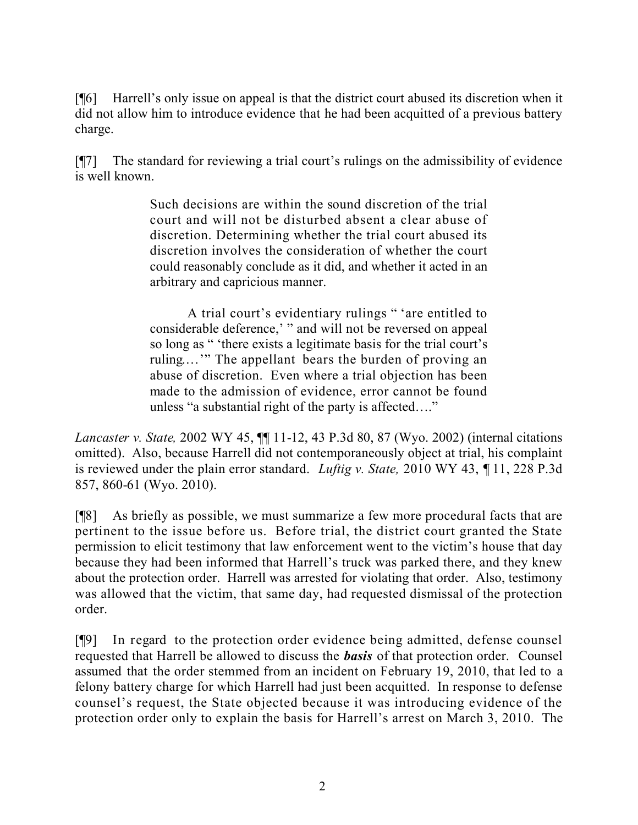[¶6] Harrell's only issue on appeal is that the district court abused its discretion when it did not allow him to introduce evidence that he had been acquitted of a previous battery charge.

[¶7] The standard for reviewing a trial court's rulings on the admissibility of evidence is well known.

> Such decisions are within the sound discretion of the trial court and will not be disturbed absent a clear abuse of discretion. Determining whether the trial court abused its discretion involves the consideration of whether the court could reasonably conclude as it did, and whether it acted in an arbitrary and capricious manner.

> A trial court's evidentiary rulings " 'are entitled to considerable deference,' " and will not be reversed on appeal so long as " 'there exists a legitimate basis for the trial court's ruling.…'" The appellant bears the burden of proving an abuse of discretion. Even where a trial objection has been made to the admission of evidence, error cannot be found unless "a substantial right of the party is affected…."

*Lancaster v. State,* 2002 WY 45, ¶¶ 11-12, 43 P.3d 80, 87 (Wyo. 2002) (internal citations omitted). Also, because Harrell did not contemporaneously object at trial, his complaint is reviewed under the plain error standard. *Luftig v. State,* 2010 WY 43, ¶ 11, 228 P.3d 857, 860-61 (Wyo. 2010).

[¶8] As briefly as possible, we must summarize a few more procedural facts that are pertinent to the issue before us. Before trial, the district court granted the State permission to elicit testimony that law enforcement went to the victim's house that day because they had been informed that Harrell's truck was parked there, and they knew about the protection order. Harrell was arrested for violating that order. Also, testimony was allowed that the victim, that same day, had requested dismissal of the protection order.

[¶9] In regard to the protection order evidence being admitted, defense counsel requested that Harrell be allowed to discuss the *basis* of that protection order. Counsel assumed that the order stemmed from an incident on February 19, 2010, that led to a felony battery charge for which Harrell had just been acquitted. In response to defense counsel's request, the State objected because it was introducing evidence of the protection order only to explain the basis for Harrell's arrest on March 3, 2010. The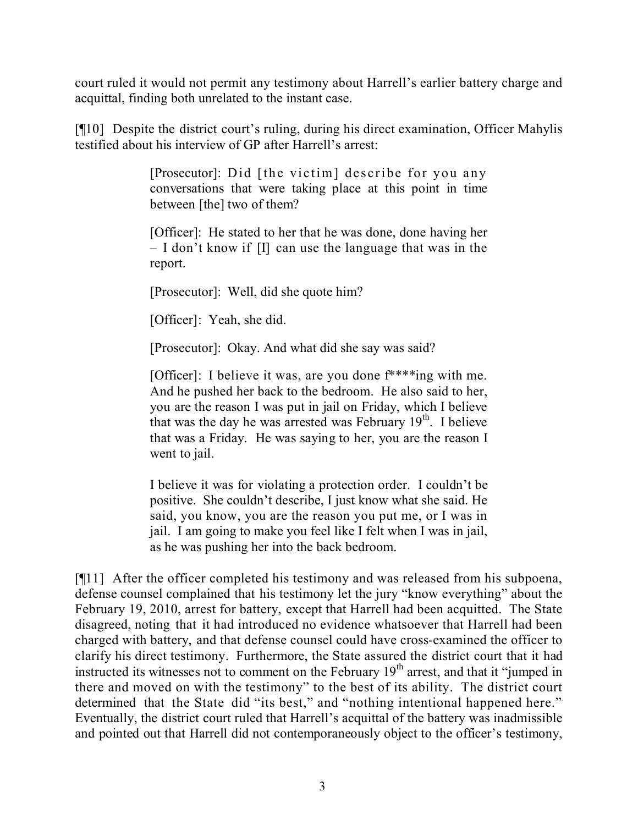court ruled it would not permit any testimony about Harrell's earlier battery charge and acquittal, finding both unrelated to the instant case.

[¶10] Despite the district court's ruling, during his direct examination, Officer Mahylis testified about his interview of GP after Harrell's arrest:

> [Prosecutor]: Did [the victim] describe for you any conversations that were taking place at this point in time between [the] two of them?

> [Officer]: He stated to her that he was done, done having her – I don't know if [I] can use the language that was in the report.

[Prosecutor]: Well, did she quote him?

[Officer]: Yeah, she did.

[Prosecutor]: Okay. And what did she say was said?

[Officer]: I believe it was, are you done f\*\*\*\*ing with me. And he pushed her back to the bedroom. He also said to her, you are the reason I was put in jail on Friday, which I believe that was the day he was arrested was February 19<sup>th</sup>. I believe that was a Friday. He was saying to her, you are the reason I went to jail.

I believe it was for violating a protection order. I couldn't be positive. She couldn't describe, I just know what she said. He said, you know, you are the reason you put me, or I was in jail. I am going to make you feel like I felt when I was in jail, as he was pushing her into the back bedroom.

[¶11] After the officer completed his testimony and was released from his subpoena, defense counsel complained that his testimony let the jury "know everything" about the February 19, 2010, arrest for battery, except that Harrell had been acquitted. The State disagreed, noting that it had introduced no evidence whatsoever that Harrell had been charged with battery, and that defense counsel could have cross-examined the officer to clarify his direct testimony. Furthermore, the State assured the district court that it had instructed its witnesses not to comment on the February  $19<sup>th</sup>$  arrest, and that it "jumped in there and moved on with the testimony" to the best of its ability. The district court determined that the State did "its best," and "nothing intentional happened here." Eventually, the district court ruled that Harrell's acquittal of the battery was inadmissible and pointed out that Harrell did not contemporaneously object to the officer's testimony,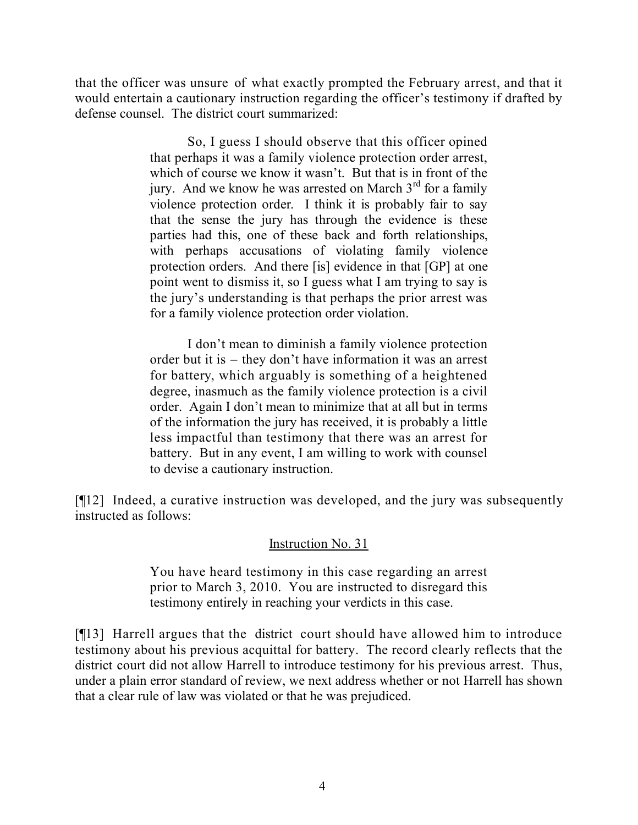that the officer was unsure of what exactly prompted the February arrest, and that it would entertain a cautionary instruction regarding the officer's testimony if drafted by defense counsel. The district court summarized:

> So, I guess I should observe that this officer opined that perhaps it was a family violence protection order arrest, which of course we know it wasn't. But that is in front of the jury. And we know he was arrested on March  $3<sup>rd</sup>$  for a family violence protection order. I think it is probably fair to say that the sense the jury has through the evidence is these parties had this, one of these back and forth relationships, with perhaps accusations of violating family violence protection orders. And there [is] evidence in that [GP] at one point went to dismiss it, so I guess what I am trying to say is the jury's understanding is that perhaps the prior arrest was for a family violence protection order violation.

> I don't mean to diminish a family violence protection order but it is – they don't have information it was an arrest for battery, which arguably is something of a heightened degree, inasmuch as the family violence protection is a civil order. Again I don't mean to minimize that at all but in terms of the information the jury has received, it is probably a little less impactful than testimony that there was an arrest for battery. But in any event, I am willing to work with counsel to devise a cautionary instruction.

[¶12] Indeed, a curative instruction was developed, and the jury was subsequently instructed as follows:

# Instruction No. 31

You have heard testimony in this case regarding an arrest prior to March 3, 2010. You are instructed to disregard this testimony entirely in reaching your verdicts in this case.

[¶13] Harrell argues that the district court should have allowed him to introduce testimony about his previous acquittal for battery. The record clearly reflects that the district court did not allow Harrell to introduce testimony for his previous arrest. Thus, under a plain error standard of review, we next address whether or not Harrell has shown that a clear rule of law was violated or that he was prejudiced.